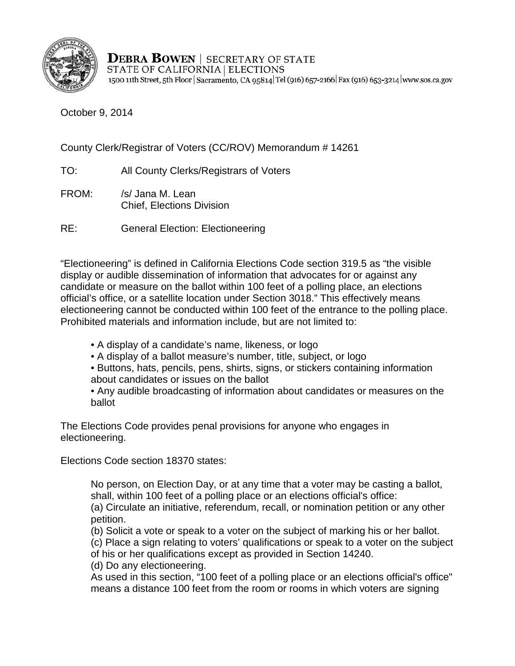

**DEBRA BOWEN** | SECRETARY OF STATE STATE OF CALIFORNIA | ELECTIONS 1500 11th Street, 5th Floor | Sacramento, CA 95814 Tel (916) 657-2166 | Fax (916) 653-3214 | www.sos.ca.gov

October 9, 2014

County Clerk/Registrar of Voters (CC/ROV) Memorandum # 14261

TO: All County Clerks/Registrars of Voters

- FROM: /s/ Jana M. Lean Chief, Elections Division
- RE: General Election: Electioneering

"Electioneering" is defined in California Elections Code section 319.5 as "the visible display or audible dissemination of information that advocates for or against any candidate or measure on the ballot within 100 feet of a polling place, an elections official's office, or a satellite location under Section 3018." This effectively means electioneering cannot be conducted within 100 feet of the entrance to the polling place. Prohibited materials and information include, but are not limited to:

- A display of a candidate's name, likeness, or logo
- A display of a ballot measure's number, title, subject, or logo
- Buttons, hats, pencils, pens, shirts, signs, or stickers containing information about candidates or issues on the ballot
- Any audible broadcasting of information about candidates or measures on the ballot

The Elections Code provides penal provisions for anyone who engages in electioneering.

Elections Code section 18370 states:

No person, on Election Day, or at any time that a voter may be casting a ballot, shall, within 100 feet of a polling place or an elections official's office:

(a) Circulate an initiative, referendum, recall, or nomination petition or any other petition.

(b) Solicit a vote or speak to a voter on the subject of marking his or her ballot.

(c) Place a sign relating to voters' qualifications or speak to a voter on the subject

of his or her qualifications except as provided in Section 14240.

(d) Do any electioneering.

As used in this section, "100 feet of a polling place or an elections official's office" means a distance 100 feet from the room or rooms in which voters are signing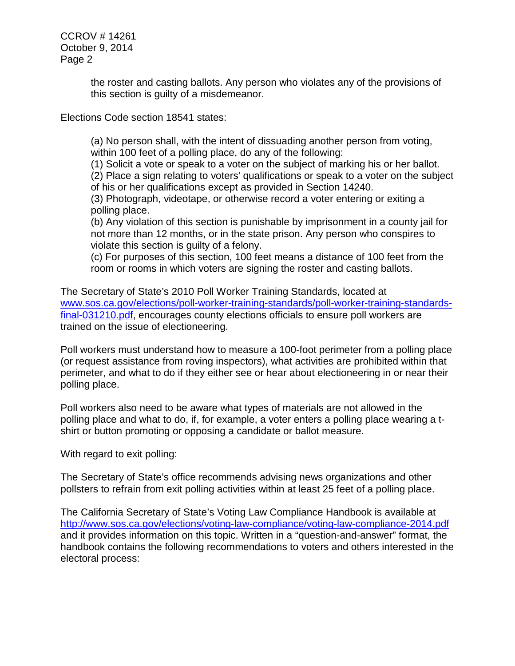CCROV # 14261 October 9, 2014 Page 2

> the roster and casting ballots. Any person who violates any of the provisions of this section is guilty of a misdemeanor.

Elections Code section 18541 states:

(a) No person shall, with the intent of dissuading another person from voting, within 100 feet of a polling place, do any of the following:

(1) Solicit a vote or speak to a voter on the subject of marking his or her ballot.

(2) Place a sign relating to voters' qualifications or speak to a voter on the subject of his or her qualifications except as provided in Section 14240.

(3) Photograph, videotape, or otherwise record a voter entering or exiting a polling place.

(b) Any violation of this section is punishable by imprisonment in a county jail for not more than 12 months, or in the state prison. Any person who conspires to violate this section is guilty of a felony.

(c) For purposes of this section, 100 feet means a distance of 100 feet from the room or rooms in which voters are signing the roster and casting ballots.

The Secretary of State's 2010 Poll Worker Training Standards, located at [www.sos.ca.gov/elections/poll-worker-training-standards/poll-worker-training-standards](http://elections.cdn.sos.ca.gov/poll-worker-training-standards/poll-worker-training-standards-final-031210.pdf)[final-031210.pdf,](http://elections.cdn.sos.ca.gov/poll-worker-training-standards/poll-worker-training-standards-final-031210.pdf) encourages county elections officials to ensure poll workers are trained on the issue of electioneering.

Poll workers must understand how to measure a 100-foot perimeter from a polling place (or request assistance from roving inspectors), what activities are prohibited within that perimeter, and what to do if they either see or hear about electioneering in or near their polling place.

Poll workers also need to be aware what types of materials are not allowed in the polling place and what to do, if, for example, a voter enters a polling place wearing a tshirt or button promoting or opposing a candidate or ballot measure.

With regard to exit polling:

The Secretary of State's office recommends advising news organizations and other pollsters to refrain from exit polling activities within at least 25 feet of a polling place.

The California Secretary of State's Voting Law Compliance Handbook is available at [http://www.sos.ca.gov/elections/voting-law-compliance/voting-law-compliance-2014.pdf](http://elections.cdn.sos.ca.gov/voting-law-compliance/voting-law-compliance-2014.pdf) and it provides information on this topic. Written in a "question-and-answer" format, the handbook contains the following recommendations to voters and others interested in the electoral process: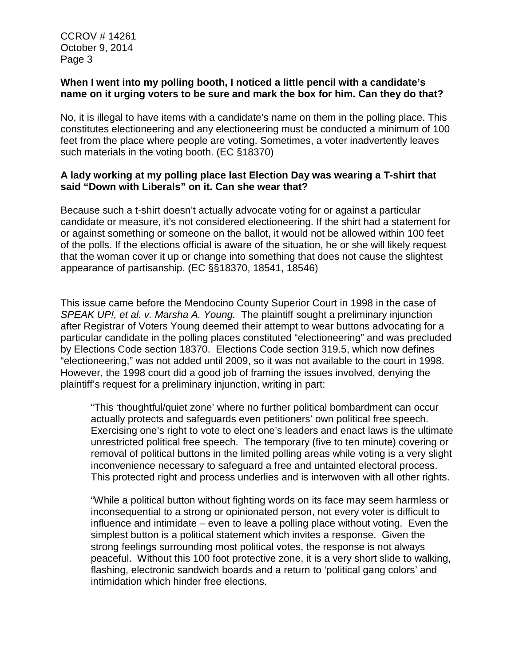CCROV # 14261 October 9, 2014 Page 3

## **When I went into my polling booth, I noticed a little pencil with a candidate's name on it urging voters to be sure and mark the box for him. Can they do that?**

No, it is illegal to have items with a candidate's name on them in the polling place. This constitutes electioneering and any electioneering must be conducted a minimum of 100 feet from the place where people are voting. Sometimes, a voter inadvertently leaves such materials in the voting booth. (EC §18370)

## **A lady working at my polling place last Election Day was wearing a T-shirt that said "Down with Liberals" on it. Can she wear that?**

Because such a t-shirt doesn't actually advocate voting for or against a particular candidate or measure, it's not considered electioneering. If the shirt had a statement for or against something or someone on the ballot, it would not be allowed within 100 feet of the polls. If the elections official is aware of the situation, he or she will likely request that the woman cover it up or change into something that does not cause the slightest appearance of partisanship. (EC §§18370, 18541, 18546)

This issue came before the Mendocino County Superior Court in 1998 in the case of *SPEAK UP!, et al. v. Marsha A. Young.* The plaintiff sought a preliminary injunction after Registrar of Voters Young deemed their attempt to wear buttons advocating for a particular candidate in the polling places constituted "electioneering" and was precluded by Elections Code section 18370. Elections Code section 319.5, which now defines "electioneering," was not added until 2009, so it was not available to the court in 1998. However, the 1998 court did a good job of framing the issues involved, denying the plaintiff's request for a preliminary injunction, writing in part:

"This 'thoughtful/quiet zone' where no further political bombardment can occur actually protects and safeguards even petitioners' own political free speech. Exercising one's right to vote to elect one's leaders and enact laws is the ultimate unrestricted political free speech. The temporary (five to ten minute) covering or removal of political buttons in the limited polling areas while voting is a very slight inconvenience necessary to safeguard a free and untainted electoral process. This protected right and process underlies and is interwoven with all other rights.

"While a political button without fighting words on its face may seem harmless or inconsequential to a strong or opinionated person, not every voter is difficult to influence and intimidate – even to leave a polling place without voting. Even the simplest button is a political statement which invites a response. Given the strong feelings surrounding most political votes, the response is not always peaceful. Without this 100 foot protective zone, it is a very short slide to walking, flashing, electronic sandwich boards and a return to 'political gang colors' and intimidation which hinder free elections.